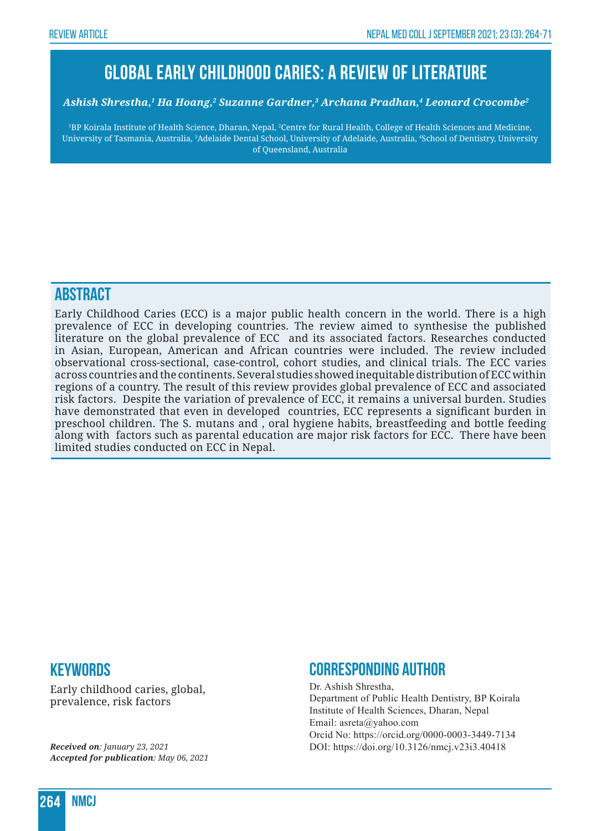# **Global early childhood caries: a review of literature**

#### *Ashish Shrestha,1 Ha Hoang,2 Suzanne Gardner,3 Archana Pradhan,4 Leonard Crocombe2*

1 BP Koirala Institute of Health Science, Dharan, Nepal, 2 Centre for Rural Health, College of Health Sciences and Medicine, University of Tasmania, Australia, <sup>3</sup>Adelaide Dental School, University of Adelaide, Australia, <sup>4</sup>School of Dentistry, University of Queensland, Australia

## **ABSTRACT**

Early Childhood Caries (ECC) is a major public health concern in the world. There is a high prevalence of ECC in developing countries. The review aimed to synthesise the published literature on the global prevalence of ECC and its associated factors. Researches conducted in Asian, European, American and African countries were included. The review included observational cross-sectional, case-control, cohort studies, and clinical trials. The ECC varies across countries and the continents. Several studies showed inequitable distribution of ECC within regions of a country. The result of this review provides global prevalence of ECC and associated risk factors. Despite the variation of prevalence of ECC, it remains a universal burden. Studies have demonstrated that even in developed countries, ECC represents a significant burden in preschool children. The S. mutans and , oral hygiene habits, breastfeeding and bottle feeding along with factors such as parental education are major risk factors for ECC. There have been limited studies conducted on ECC in Nepal.

#### **Keywords**

Early childhood caries, global, prevalence, risk factors

*Received on: January 23, 2021 Accepted for publication: May 06, 2021*

### **Corresponding author**

Dr. Ashish Shrestha, Department of Public Health Dentistry, BP Koirala Institute of Health Sciences, Dharan, Nepal Email: asreta@yahoo.com Orcid No: https://orcid.org/0000-0003-3449-7134 DOI: https://doi.org/10.3126/nmcj.v23i3.40418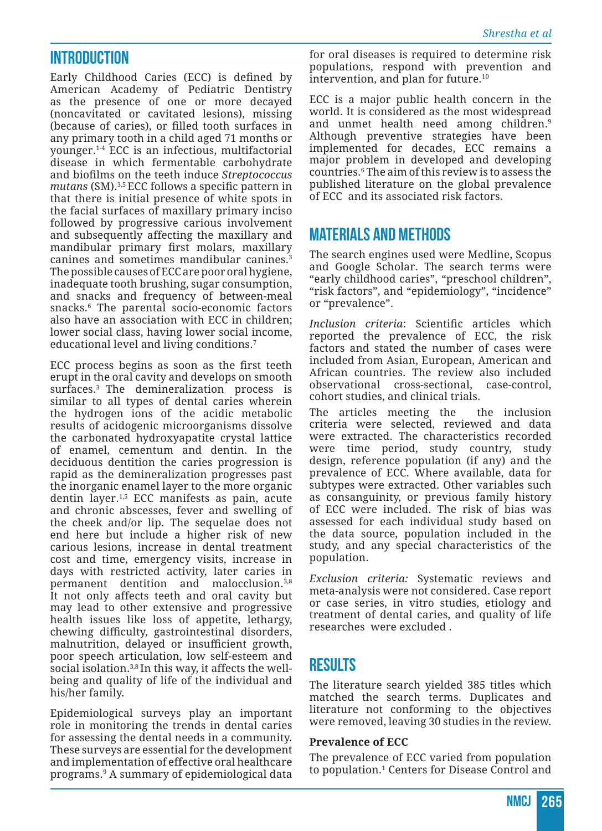## **Introduction**

Early Childhood Caries (ECC) is defined by American Academy of Pediatric Dentistry as the presence of one or more decayed (noncavitated or cavitated lesions), missing (because of caries), or filled tooth surfaces in any primary tooth in a child aged 71 months or younger.1-4 ECC is an infectious, multifactorial disease in which fermentable carbohydrate and biofilms on the teeth induce *Streptococcus mutans* (SM).3,5 ECC follows a specific pattern in that there is initial presence of white spots in the facial surfaces of maxillary primary inciso followed by progressive carious involvement and subsequently affecting the maxillary and mandibular primary first molars, maxillary canines and sometimes mandibular canines.<sup>3</sup> The possible causes of ECC are poor oral hygiene, inadequate tooth brushing, sugar consumption, and snacks and frequency of between-meal snacks.<sup>6</sup> The parental socio-economic factors also have an association with ECC in children; lower social class, having lower social income, educational level and living conditions.<sup>7</sup>

ECC process begins as soon as the first teeth erupt in the oral cavity and develops on smooth surfaces.3 The demineralization process is similar to all types of dental caries wherein the hydrogen ions of the acidic metabolic results of acidogenic microorganisms dissolve the carbonated hydroxyapatite crystal lattice of enamel, cementum and dentin. In the deciduous dentition the caries progression is rapid as the demineralization progresses past the inorganic enamel layer to the more organic dentin layer.1,5 ECC manifests as pain, acute and chronic abscesses, fever and swelling of the cheek and/or lip. The sequelae does not end here but include a higher risk of new carious lesions, increase in dental treatment cost and time, emergency visits, increase in days with restricted activity, later caries in permanent dentition and malocclusion.3,8 It not only affects teeth and oral cavity but may lead to other extensive and progressive health issues like loss of appetite, lethargy, chewing difficulty, gastrointestinal disorders, malnutrition, delayed or insufficient growth, poor speech articulation, low self-esteem and social isolation.<sup>3,8</sup> In this way, it affects the wellbeing and quality of life of the individual and his/her family.

Epidemiological surveys play an important role in monitoring the trends in dental caries for assessing the dental needs in a community. These surveys are essential for the development and implementation of effective oral healthcare programs.<sup>9</sup> A summary of epidemiological data

for oral diseases is required to determine risk populations, respond with prevention and intervention, and plan for future.10

ECC is a major public health concern in the world. It is considered as the most widespread and unmet health need among children.<sup>9</sup> Although preventive strategies have been implemented for decades, ECC remains a major problem in developed and developing countries.6 The aim of this review is to assess the published literature on the global prevalence of ECC and its associated risk factors.

## **Materials and Methods**

The search engines used were Medline, Scopus and Google Scholar. The search terms were "early childhood caries", "preschool children", "risk factors", and "epidemiology", "incidence" or "prevalence".

*Inclusion criteria*: Scientific articles which reported the prevalence of ECC, the risk factors and stated the number of cases were included from Asian, European, American and African countries. The review also included observational cross-sectional, case-control, cohort studies, and clinical trials.

The articles meeting the the inclusion criteria were selected, reviewed and data were extracted. The characteristics recorded were time period, study country, study design, reference population (if any) and the prevalence of ECC. Where available, data for subtypes were extracted. Other variables such as consanguinity, or previous family history of ECC were included. The risk of bias was assessed for each individual study based on the data source, population included in the study, and any special characteristics of the population.

*Exclusion criteria:* Systematic reviews and meta-analysis were not considered. Case report or case series, in vitro studies, etiology and treatment of dental caries, and quality of life researches were excluded .

#### **Results**

The literature search yielded 385 titles which matched the search terms. Duplicates and literature not conforming to the objectives were removed, leaving 30 studies in the review.

#### **Prevalence of ECC**

The prevalence of ECC varied from population to population.1 Centers for Disease Control and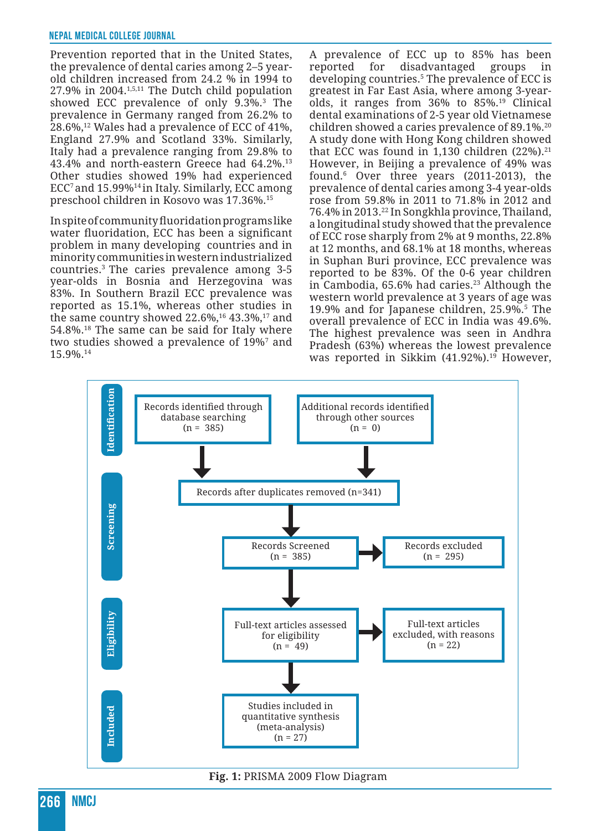Prevention reported that in the United States, the prevalence of dental caries among 2–5 yearold children increased from 24.2 % in 1994 to  $27.9\%$  in  $2004$ .<sup>1,5,11</sup> The Dutch child population showed ECC prevalence of only 9.3%.<sup>3</sup> The prevalence in Germany ranged from 26.2% to 28.6%,12 Wales had a prevalence of ECC of 41%, England 27.9% and Scotland 33%. Similarly, Italy had a prevalence ranging from 29.8% to 43.4% and north-eastern Greece had 64.2%.<sup>13</sup> Other studies showed 19% had experienced ECC<sup>7</sup> and  $15.99\%$ <sup>14</sup> in Italy. Similarly, ECC among preschool children in Kosovo was 17.36%.15

In spite of community fluoridation programs like water fluoridation, ECC has been a significant problem in many developing countries and in minority communities in western industrialized countries.3 The caries prevalence among 3-5 year-olds in Bosnia and Herzegovina was 83%. In Southern Brazil ECC prevalence was reported as 15.1%, whereas other studies in the same country showed  $22.6\%,^{16}43.3\%,^{17}$  and 54.8%.18 The same can be said for Italy where two studies showed a prevalence of 19%<sup>7</sup> and 15.9%.<sup>14</sup>

A prevalence of ECC up to 85% has been reported for disadvantaged groups in developing countries.5 The prevalence of ECC is greatest in Far East Asia, where among 3-yearolds, it ranges from 36% to 85%.<sup>19</sup> Clinical dental examinations of 2-5 year old Vietnamese children showed a caries prevalence of 89.1%.20 A study done with Hong Kong children showed that ECC was found in  $1,130$  children  $(22\%)$ .<sup>21</sup> However, in Beijing a prevalence of 49% was found.6 Over three years (2011-2013), the prevalence of dental caries among 3-4 year-olds rose from 59.8% in 2011 to 71.8% in 2012 and 76.4% in 2013.22 In Songkhla province, Thailand, a longitudinal study showed that the prevalence of ECC rose sharply from 2% at 9 months, 22.8% at 12 months, and 68.1% at 18 months, whereas in Suphan Buri province, ECC prevalence was reported to be 83%. Of the 0-6 year children in Cambodia,  $65.6\%$  had caries.<sup>23</sup> Although the western world prevalence at 3 years of age was 19.9% and for Japanese children, 25.9%.5 The overall prevalence of ECC in India was 49.6%. The highest prevalence was seen in Andhra Pradesh (63%) whereas the lowest prevalence was reported in Sikkim (41.92%).<sup>19</sup> However,



**Fig. 1:** PRISMA 2009 Flow Diagram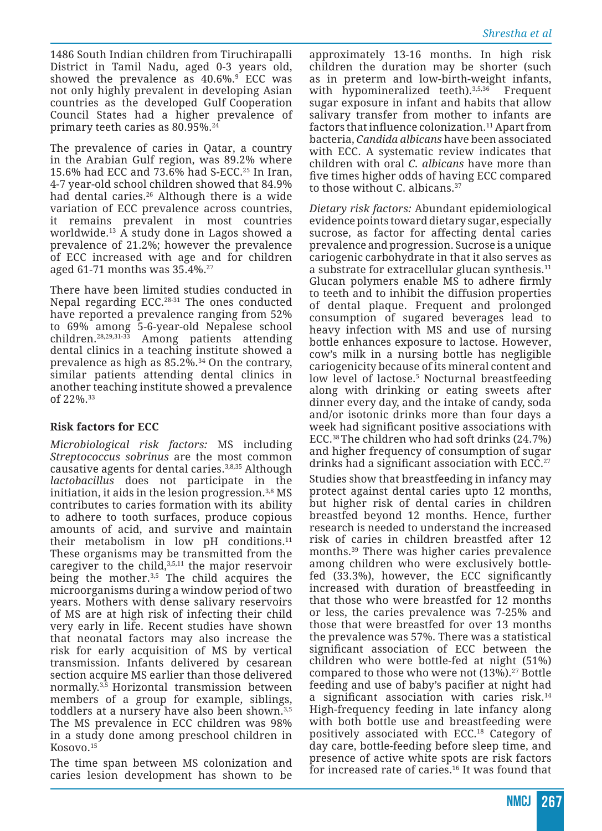1486 South Indian children from Tiruchirapalli District in Tamil Nadu, aged 0-3 years old, showed the prevalence as 40.6%.<sup>9</sup> ECC was not only highly prevalent in developing Asian countries as the developed Gulf Cooperation Council States had a higher prevalence of primary teeth caries as 80.95%.24

The prevalence of caries in Qatar, a country in the Arabian Gulf region, was 89.2% where 15.6% had ECC and 73.6% had S-ECC.<sup>25</sup> In Iran, 4-7 year-old school children showed that 84.9% had dental caries.<sup>26</sup> Although there is a wide variation of ECC prevalence across countries, it remains prevalent in most countries worldwide.<sup>13</sup> A study done in Lagos showed a prevalence of 21.2%; however the prevalence of ECC increased with age and for children aged 61-71 months was 35.4%.27

There have been limited studies conducted in Nepal regarding ECC.28-31 The ones conducted have reported a prevalence ranging from 52% to 69% among 5-6-year-old Nepalese school<br>children.<sup>28,29,31-33</sup> Among patients attending Among patients attending dental clinics in a teaching institute showed a prevalence as high as  $85.2\%$ .<sup>34</sup> On the contrary, similar patients attending dental clinics in another teaching institute showed a prevalence of 22%.33

#### **Risk factors for ECC**

*Microbiological risk factors:* MS including *Streptococcus sobrinus* are the most common causative agents for dental caries.3,8,35 Although *lactobacillus* does not participate in the initiation, it aids in the lesion progression.3,8 MS contributes to caries formation with its ability to adhere to tooth surfaces, produce copious amounts of acid, and survive and maintain their metabolism in low pH conditions.<sup>11</sup> These organisms may be transmitted from the caregiver to the child, $3,5,11$  the major reservoir being the mother.<sup>3,5</sup> The child acquires the microorganisms during a window period of two years. Mothers with dense salivary reservoirs of MS are at high risk of infecting their child very early in life. Recent studies have shown that neonatal factors may also increase the risk for early acquisition of MS by vertical transmission. Infants delivered by cesarean section acquire MS earlier than those delivered normally.3,5 Horizontal transmission between members of a group for example, siblings, toddlers at a nursery have also been shown.3,5 The MS prevalence in ECC children was 98% in a study done among preschool children in Kosovo.15

The time span between MS colonization and caries lesion development has shown to be approximately 13-16 months. In high risk children the duration may be shorter (such as in preterm and low-birth-weight infants, with hypomineralized teeth).<sup>3,5,36</sup> Frequent sugar exposure in infant and habits that allow salivary transfer from mother to infants are factors that influence colonization.<sup>11</sup> Apart from bacteria, *Candida albicans* have been associated with ECC. A systematic review indicates that children with oral *C. albicans* have more than five times higher odds of having ECC compared to those without C. albicans.<sup>37</sup>

*Dietary risk factors:* Abundant epidemiological evidence points toward dietary sugar, especially sucrose, as factor for affecting dental caries prevalence and progression. Sucrose is a unique cariogenic carbohydrate in that it also serves as a substrate for extracellular glucan synthesis.<sup>11</sup> Glucan polymers enable MS to adhere firmly to teeth and to inhibit the diffusion properties of dental plaque. Frequent and prolonged consumption of sugared beverages lead to heavy infection with MS and use of nursing bottle enhances exposure to lactose. However, cow's milk in a nursing bottle has negligible cariogenicity because of its mineral content and low level of lactose.5 Nocturnal breastfeeding along with drinking or eating sweets after dinner every day, and the intake of candy, soda and/or isotonic drinks more than four days a week had significant positive associations with ECC.38 The children who had soft drinks (24.7%) and higher frequency of consumption of sugar drinks had a significant association with ECC.27

Studies show that breastfeeding in infancy may protect against dental caries upto 12 months, but higher risk of dental caries in children breastfed beyond 12 months. Hence, further research is needed to understand the increased risk of caries in children breastfed after 12 months.<sup>39</sup> There was higher caries prevalence among children who were exclusively bottlefed (33.3%), however, the ECC significantly increased with duration of breastfeeding in that those who were breastfed for 12 months or less, the caries prevalence was 7-25% and those that were breastfed for over 13 months the prevalence was 57%. There was a statistical significant association of ECC between the children who were bottle-fed at night (51%) compared to those who were not (13%).<sup>27</sup> Bottle feeding and use of baby's pacifier at night had a significant association with caries risk.<sup>14</sup> High-frequency feeding in late infancy along with both bottle use and breastfeeding were positively associated with ECC.18 Category of day care, bottle-feeding before sleep time, and presence of active white spots are risk factors for increased rate of caries.16 It was found that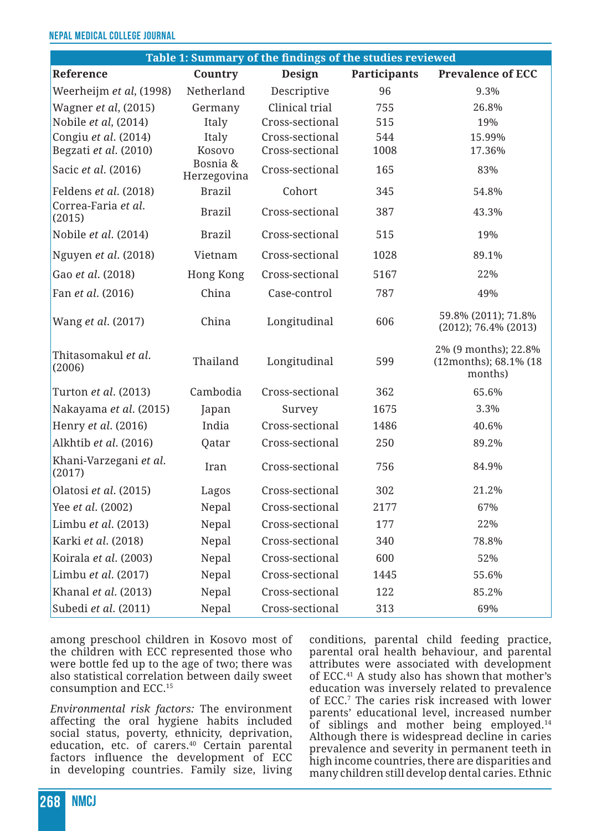#### **Nepal Medical College Journal**

| Table 1: Summary of the findings of the studies reviewed |                         |                 |              |                                                          |
|----------------------------------------------------------|-------------------------|-----------------|--------------|----------------------------------------------------------|
| Reference                                                | Country                 | Design          | Participants | <b>Prevalence of ECC</b>                                 |
| Weerheijm et al, (1998)                                  | Netherland              | Descriptive     | 96           | 9.3%                                                     |
| Wagner et al, (2015)                                     | Germany                 | Clinical trial  | 755          | 26.8%                                                    |
| Nobile et al, (2014)                                     | Italy                   | Cross-sectional | 515          | 19%                                                      |
| Congiu et al. (2014)                                     | Italy                   | Cross-sectional | 544          | 15.99%                                                   |
| Begzati et al. (2010)                                    | Kosovo                  | Cross-sectional | 1008         | 17.36%                                                   |
| Sacic et al. (2016)                                      | Bosnia &<br>Herzegovina | Cross-sectional | 165          | 83%                                                      |
| Feldens et al. (2018)                                    | <b>Brazil</b>           | Cohort          | 345          | 54.8%                                                    |
| Correa-Faria et al.<br>(2015)                            | <b>Brazil</b>           | Cross-sectional | 387          | 43.3%                                                    |
| Nobile et al. (2014)                                     | <b>Brazil</b>           | Cross-sectional | 515          | 19%                                                      |
| Nguyen et al. (2018)                                     | Vietnam                 | Cross-sectional | 1028         | 89.1%                                                    |
| Gao et al. (2018)                                        | <b>Hong Kong</b>        | Cross-sectional | 5167         | 22%                                                      |
| Fan et al. (2016)                                        | China                   | Case-control    | 787          | 49%                                                      |
| Wang et al. (2017)                                       | China                   | Longitudinal    | 606          | 59.8% (2011); 71.8%<br>$(2012)$ ; 76.4% $(2013)$         |
| Thitasomakul et al.<br>(2006)                            | Thailand                | Longitudinal    | 599          | 2% (9 months); 22.8%<br>(12months); 68.1% (18<br>months) |
| Turton et al. (2013)                                     | Cambodia                | Cross-sectional | 362          | 65.6%                                                    |
| Nakayama et al. (2015)                                   | Japan                   | Survey          | 1675         | 3.3%                                                     |
| Henry et al. (2016)                                      | India                   | Cross-sectional | 1486         | 40.6%                                                    |
| Alkhtib et al. (2016)                                    | Qatar                   | Cross-sectional | 250          | 89.2%                                                    |
| Khani-Varzegani et al.<br>(2017)                         | Iran                    | Cross-sectional | 756          | 84.9%                                                    |
| Olatosi et al. (2015)                                    | Lagos                   | Cross-sectional | 302          | 21.2%                                                    |
| Yee et al. (2002)                                        | Nepal                   | Cross-sectional | 2177         | 67%                                                      |
| Limbu et al. (2013)                                      | Nepal                   | Cross-sectional | 177          | 22%                                                      |
| Karki et al. (2018)                                      | Nepal                   | Cross-sectional | 340          | 78.8%                                                    |
| Koirala et al. (2003)                                    | Nepal                   | Cross-sectional | 600          | 52%                                                      |
| Limbu et al. (2017)                                      | Nepal                   | Cross-sectional | 1445         | 55.6%                                                    |
| Khanal et al. (2013)                                     | Nepal                   | Cross-sectional | 122          | 85.2%                                                    |
| Subedi et al. (2011)                                     | Nepal                   | Cross-sectional | 313          | 69%                                                      |

among preschool children in Kosovo most of the children with ECC represented those who were bottle fed up to the age of two; there was also statistical correlation between daily sweet consumption and ECC.15

*Environmental risk factors:* The environment affecting the oral hygiene habits included social status, poverty, ethnicity, deprivation, education, etc. of carers.<sup>40</sup> Certain parental factors influence the development of ECC in developing countries. Family size, living

conditions, parental child feeding practice, parental oral health behaviour, and parental attributes were associated with development of ECC.<sup>41</sup> A study also has shown that mother's education was inversely related to prevalence of ECC.<sup>7</sup> The caries risk increased with lower parents' educational level, increased number of siblings and mother being employed.<sup>14</sup> Although there is widespread decline in caries prevalence and severity in permanent teeth in high income countries, there are disparities and many children still develop dental caries. Ethnic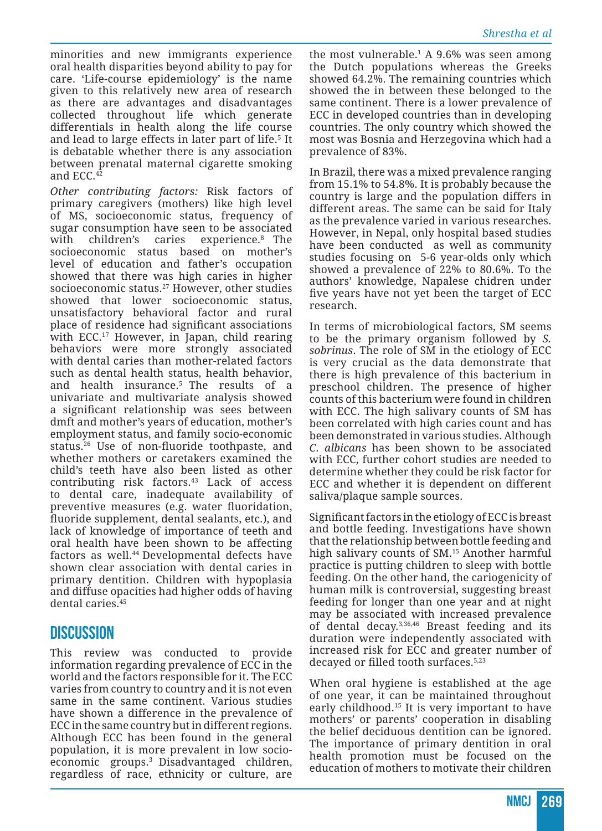minorities and new immigrants experience oral health disparities beyond ability to pay for care. 'Life-course epidemiology' is the name given to this relatively new area of research as there are advantages and disadvantages collected throughout life which generate differentials in health along the life course and lead to large effects in later part of life.<sup>5</sup> It is debatable whether there is any association between prenatal maternal cigarette smoking and ECC.<sup>42</sup>

*Other contributing factors:* Risk factors of primary caregivers (mothers) like high level of MS, socioeconomic status, frequency of sugar consumption have seen to be associated with children's caries experience.8 The socioeconomic status based on mother's level of education and father's occupation showed that there was high caries in higher socioeconomic status.27 However, other studies showed that lower socioeconomic status, unsatisfactory behavioral factor and rural place of residence had significant associations with ECC.<sup>17</sup> However, in Japan, child rearing behaviors were more strongly associated with dental caries than mother-related factors such as dental health status, health behavior, and health insurance.5 The results of a univariate and multivariate analysis showed a significant relationship was sees between dmft and mother's years of education, mother's employment status, and family socio-economic status.26 Use of non-fluoride toothpaste, and whether mothers or caretakers examined the child's teeth have also been listed as other contributing risk factors.<sup>43</sup> Lack of access to dental care, inadequate availability of preventive measures (e.g. water fluoridation, fluoride supplement, dental sealants, etc.), and lack of knowledge of importance of teeth and oral health have been shown to be affecting factors as well.<sup>44</sup> Developmental defects have shown clear association with dental caries in primary dentition. Children with hypoplasia and diffuse opacities had higher odds of having dental caries.<sup>45</sup>

# **Discussion**

This review was conducted to provide information regarding prevalence of ECC in the world and the factors responsible for it. The ECC varies from country to country and it is not even same in the same continent. Various studies have shown a difference in the prevalence of ECC in the same country but in different regions. Although ECC has been found in the general population, it is more prevalent in low socioeconomic groups.<sup>3</sup> Disadvantaged children, regardless of race, ethnicity or culture, are

the most vulnerable.<sup>1</sup> A 9.6% was seen among the Dutch populations whereas the Greeks showed 64.2%. The remaining countries which showed the in between these belonged to the same continent. There is a lower prevalence of ECC in developed countries than in developing countries. The only country which showed the most was Bosnia and Herzegovina which had a prevalence of 83%.

In Brazil, there was a mixed prevalence ranging from 15.1% to 54.8%. It is probably because the country is large and the population differs in different areas. The same can be said for Italy as the prevalence varied in various researches. However, in Nepal, only hospital based studies have been conducted as well as community studies focusing on 5-6 year-olds only which showed a prevalence of 22% to 80.6%. To the authors' knowledge, Napalese chidren under five years have not yet been the target of ECC research.

In terms of microbiological factors, SM seems to be the primary organism followed by *S. sobrinus*. The role of SM in the etiology of ECC is very crucial as the data demonstrate that there is high prevalence of this bacterium in preschool children. The presence of higher counts of this bacterium were found in children with ECC. The high salivary counts of SM has been correlated with high caries count and has been demonstrated in various studies. Although *C. albicans* has been shown to be associated with ECC, further cohort studies are needed to determine whether they could be risk factor for ECC and whether it is dependent on different saliva/plaque sample sources.

Significant factors in the etiology of ECC is breast and bottle feeding. Investigations have shown that the relationship between bottle feeding and high salivary counts of SM.15 Another harmful practice is putting children to sleep with bottle feeding. On the other hand, the cariogenicity of human milk is controversial, suggesting breast feeding for longer than one year and at night may be associated with increased prevalence of dental decay.3,36,46 Breast feeding and its duration were independently associated with increased risk for ECC and greater number of decayed or filled tooth surfaces.<sup>5,23</sup>

When oral hygiene is established at the age of one year, it can be maintained throughout early childhood.15 It is very important to have mothers' or parents' cooperation in disabling the belief deciduous dentition can be ignored. The importance of primary dentition in oral health promotion must be focused on the education of mothers to motivate their children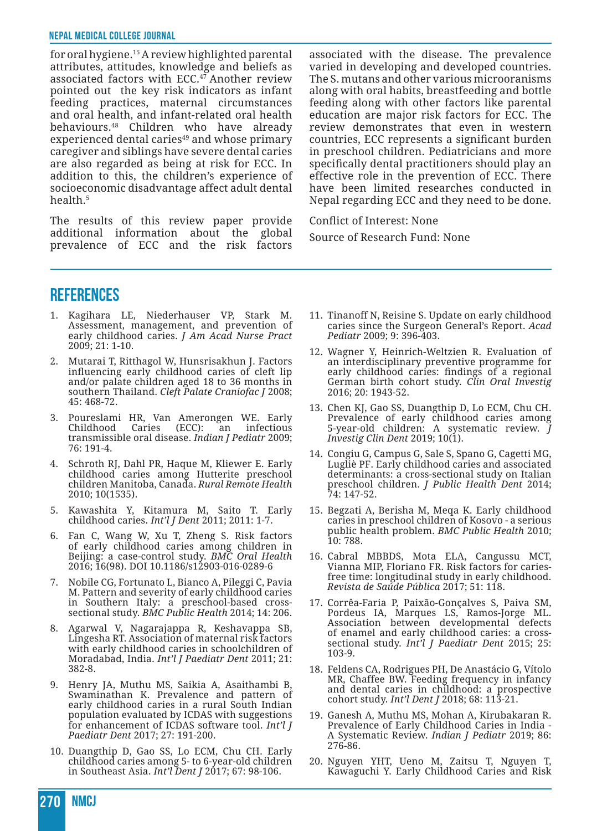for oral hygiene.15 A review highlighted parental attributes, attitudes, knowledge and beliefs as associated factors with ECC. $47$  Another review pointed out the key risk indicators as infant feeding practices, maternal circumstances and oral health, and infant-related oral health behaviours.48 Children who have already experienced dental caries<sup>49</sup> and whose primary caregiver and siblings have severe dental caries are also regarded as being at risk for ECC. In addition to this, the children's experience of socioeconomic disadvantage affect adult dental health.5

The results of this review paper provide additional information about the global prevalence of ECC and the risk factors

associated with the disease. The prevalence varied in developing and developed countries. The S. mutans and other various microoranisms along with oral habits, breastfeeding and bottle feeding along with other factors like parental education are major risk factors for ECC. The review demonstrates that even in western countries, ECC represents a significant burden in preschool children. Pediatricians and more specifically dental practitioners should play an effective role in the prevention of ECC. There have been limited researches conducted in Nepal regarding ECC and they need to be done.

Conflict of Interest: None Source of Research Fund: None

#### **References**

- 1. Kagihara LE, Niederhauser VP, Stark M. Assessment, management, and prevention of early childhood caries. *J Am Acad Nurse Pract* 2009; 21: 1-10.
- 2. Mutarai T, Ritthagol W, Hunsrisakhun J. Factors influencing early childhood caries of cleft lip and/or palate children aged 18 to 36 months in southern Thailand. *Cleft Palate Craniofac J* 2008; 45: 468-72.
- 3. Poureslami HR, Van Amerongen WE. Early Childhood Caries (ECC): an infectious transmissible oral disease. *Indian J Pediatr* 2009; 76: 191-4.
- 4. Schroth RJ, Dahl PR, Haque M, Kliewer E. Early childhood caries among Hutterite preschool children Manitoba, Canada. *Rural Remote Health* 2010; 10(1535).
- 5. Kawashita Y, Kitamura M, Saito T. Early childhood caries. *Int'l J Dent* 2011; 2011: 1-7.
- 6. Fan C, Wang W, Xu T, Zheng S. Risk factors of early childhood caries among children in Beijing: a case-control study. *BMC Oral Health* 2016; 16(98). DOI 10.1186/s12903-016-0289-6
- 7. Nobile CG, Fortunato L, Bianco A, Pileggi C, Pavia M. Pattern and severity of early childhood caries in Southern Italy: a preschool-based crosssectional study. *BMC Public Health* 2014; 14: 206.
- 8. Agarwal V, Nagarajappa R, Keshavappa SB, Lingesha RT. Association of maternal risk factors with early childhood caries in schoolchildren of Moradabad, India. *Int'l J Paediatr Dent* 2011; 21: 382-8.
- 9. Henry JA, Muthu MS, Saikia A, Asaithambi B, Swaminathan K. Prevalence and pattern of early childhood caries in a rural South Indian population evaluated by ICDAS with suggestions for enhancement of ICDAS software tool. *Int'l J Paediatr Dent* 2017; 27: 191-200.
- 10. Duangthip D, Gao SS, Lo ECM, Chu CH. Early childhood caries among 5- to 6-year-old children in Southeast Asia. *Int'l Dent J* 2017; 67: 98-106.
- 11. Tinanoff N, Reisine S. Update on early childhood caries since the Surgeon General's Report. *Acad Pediatr* 2009; 9: 396-403.
- 12. Wagner Y, Heinrich-Weltzien R. Evaluation of an interdisciplinary preventive programme for early childhood caries: findings of a regional German birth cohort study. *Clin Oral Investig* 2016; 20: 1943-52.
- 13. Chen KJ, Gao SS, Duangthip D, Lo ECM, Chu CH. Prevalence of early childhood caries among 5-year-old children: A systematic review. *J Investig Clin Dent* 2019; 10(1).
- 14. Congiu G, Campus G, Sale S, Spano G, Cagetti MG, Lugliè PF. Early childhood caries and associated determinants: a cross-sectional study on Italian preschool children. *J Public Health Dent* 2014; 74: 147-52.
- 15. Begzati A, Berisha M, Meqa K. Early childhood caries in preschool children of Kosovo - a serious public health problem. *BMC Public Health* 2010; 10: 788.
- 16. Cabral MBBDS, Mota ELA, Cangussu MCT, Vianna MIP, Floriano FR. Risk factors for cariesfree time: longitudinal study in early childhood. *Revista de Saúde Pública* 2017; 51: 118.
- 17. Corrêa-Faria P, Paixão-Gonçalves S, Paiva SM, Pordeus IA, Marques LS, Ramos-Jorge ML. Association between developmental defects of enamel and early childhood caries: a crosssectional study. *Int'l J Paediatr Dent* 2015; 25: 103-9.
- 18. Feldens CA, Rodrigues PH, De Anastácio G, Vítolo MR, Chaffee BW. Feeding frequency in infancy and dental caries in childhood: a prospective cohort study. *Int'l Dent J* 2018; 68: 113-21.
- 19. Ganesh A, Muthu MS, Mohan A, Kirubakaran R. Prevalence of Early Childhood Caries in India - A Systematic Review. *Indian J Pediatr* 2019; 86: 276-86.
- 20. Nguyen YHT, Ueno M, Zaitsu T, Nguyen T, Kawaguchi Y. Early Childhood Caries and Risk

**270 NMCJ**